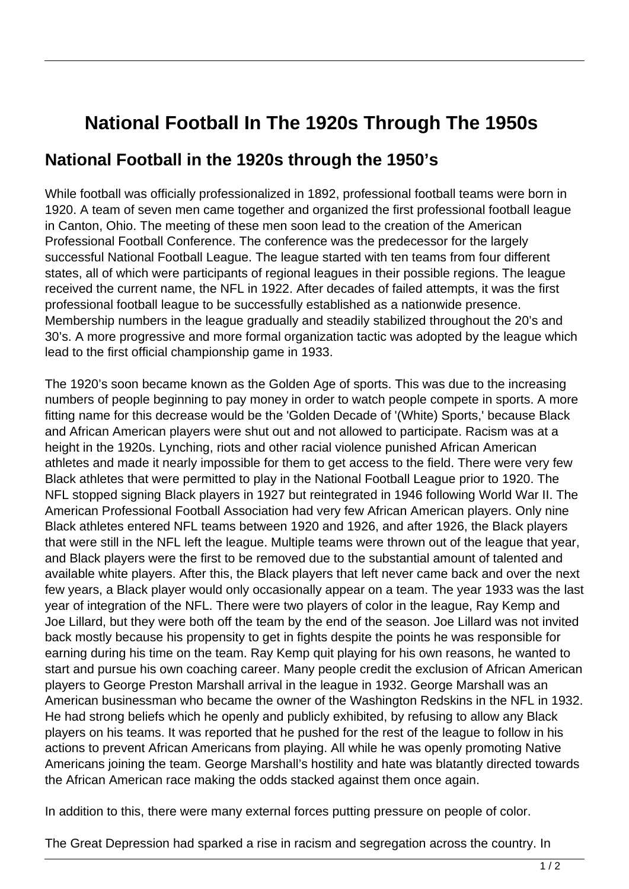## **National Football In The 1920s Through The 1950s**

## **National Football in the 1920s through the 1950's**

While football was officially professionalized in 1892, professional football teams were born in 1920. A team of seven men came together and organized the first professional football league in Canton, Ohio. The meeting of these men soon lead to the creation of the American Professional Football Conference. The conference was the predecessor for the largely successful National Football League. The league started with ten teams from four different states, all of which were participants of regional leagues in their possible regions. The league received the current name, the NFL in 1922. After decades of failed attempts, it was the first professional football league to be successfully established as a nationwide presence. Membership numbers in the league gradually and steadily stabilized throughout the 20's and 30's. A more progressive and more formal organization tactic was adopted by the league which lead to the first official championship game in 1933.

The 1920's soon became known as the Golden Age of sports. This was due to the increasing numbers of people beginning to pay money in order to watch people compete in sports. A more fitting name for this decrease would be the 'Golden Decade of '(White) Sports,' because Black and African American players were shut out and not allowed to participate. Racism was at a height in the 1920s. Lynching, riots and other racial violence punished African American athletes and made it nearly impossible for them to get access to the field. There were very few Black athletes that were permitted to play in the National Football League prior to 1920. The NFL stopped signing Black players in 1927 but reintegrated in 1946 following World War II. The American Professional Football Association had very few African American players. Only nine Black athletes entered NFL teams between 1920 and 1926, and after 1926, the Black players that were still in the NFL left the league. Multiple teams were thrown out of the league that year, and Black players were the first to be removed due to the substantial amount of talented and available white players. After this, the Black players that left never came back and over the next few years, a Black player would only occasionally appear on a team. The year 1933 was the last year of integration of the NFL. There were two players of color in the league, Ray Kemp and Joe Lillard, but they were both off the team by the end of the season. Joe Lillard was not invited back mostly because his propensity to get in fights despite the points he was responsible for earning during his time on the team. Ray Kemp quit playing for his own reasons, he wanted to start and pursue his own coaching career. Many people credit the exclusion of African American players to George Preston Marshall arrival in the league in 1932. George Marshall was an American businessman who became the owner of the Washington Redskins in the NFL in 1932. He had strong beliefs which he openly and publicly exhibited, by refusing to allow any Black players on his teams. It was reported that he pushed for the rest of the league to follow in his actions to prevent African Americans from playing. All while he was openly promoting Native Americans joining the team. George Marshall's hostility and hate was blatantly directed towards the African American race making the odds stacked against them once again.

In addition to this, there were many external forces putting pressure on people of color.

The Great Depression had sparked a rise in racism and segregation across the country. In